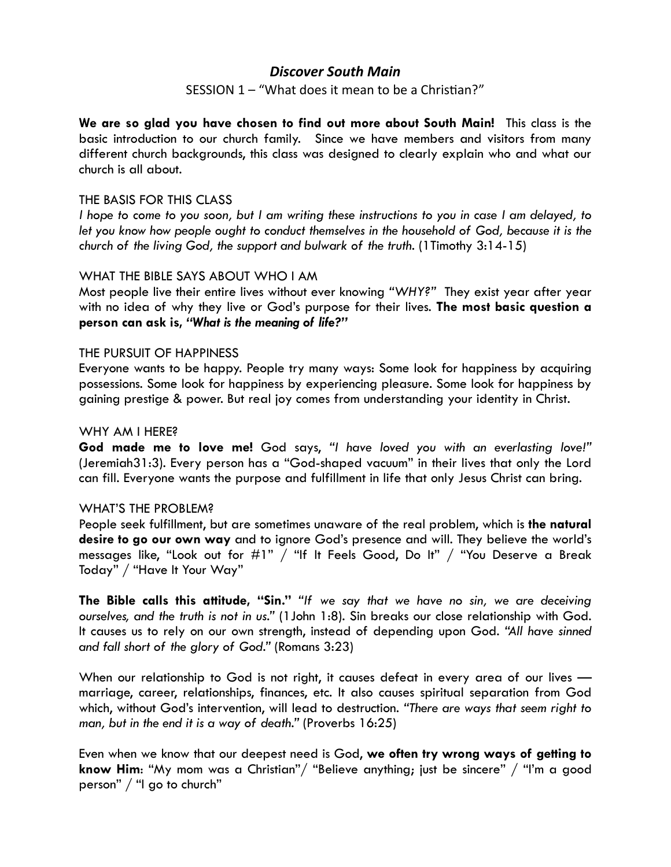# *Discover South Main*

## SESSION 1 – "What does it mean to be a Christian?"

**We are so glad you have chosen to find out more about South Main!** This class is the basic introduction to our church family. Since we have members and visitors from many different church backgrounds, this class was designed to clearly explain who and what our church is all about.

#### THE BASIS FOR THIS CLASS

*I hope to come to you soon, but I am writing these instructions to you in case I am delayed, to let you know how people ought to conduct themselves in the household of God, because it is the church of the living God, the support and bulwark of the truth.* (1Timothy 3:14-15)

### WHAT THE BIBLE SAYS ABOUT WHO I AM

Most people live their entire lives without ever knowing *"WHY?"* They exist year after year with no idea of why they live or God's purpose for their lives. **The most basic question a person can ask is,** *"What is the meaning of life?"*

### THE PURSUIT OF HAPPINESS

Everyone wants to be happy. People try many ways: Some look for happiness by acquiring possessions. Some look for happiness by experiencing pleasure. Some look for happiness by gaining prestige & power. But real joy comes from understanding your identity in Christ.

#### WHY AM I HERE?

**God made me to love me!** God says, *"I have loved you with an everlasting love!"* (Jeremiah31:3). Every person has a "God-shaped vacuum" in their lives that only the Lord can fill. Everyone wants the purpose and fulfillment in life that only Jesus Christ can bring.

#### WHAT'S THE PROBLEM?

People seek fulfillment, but are sometimes unaware of the real problem, which is **the natural desire to go our own way** and to ignore God's presence and will. They believe the world's messages like, "Look out for #1" / "If It Feels Good, Do It" / "You Deserve a Break Today" / "Have It Your Way"

**The Bible calls this attitude, "Sin."** *"If we say that we have no sin, we are deceiving ourselves, and the truth is not in us."* (1John 1:8). Sin breaks our close relationship with God. It causes us to rely on our own strength, instead of depending upon God. *"All have sinned and fall short of the glory of God."* (Romans 3:23)

When our relationship to God is not right, it causes defeat in every area of our lives marriage, career, relationships, finances, etc. It also causes spiritual separation from God which, without God's intervention, will lead to destruction. *"There are ways that seem right to man, but in the end it is a way of death."* (Proverbs 16:25)

Even when we know that our deepest need is God, **we often try wrong ways of getting to know Him**: "My mom was a Christian"/ "Believe anything; just be sincere" / "I'm a good person" / "I go to church"